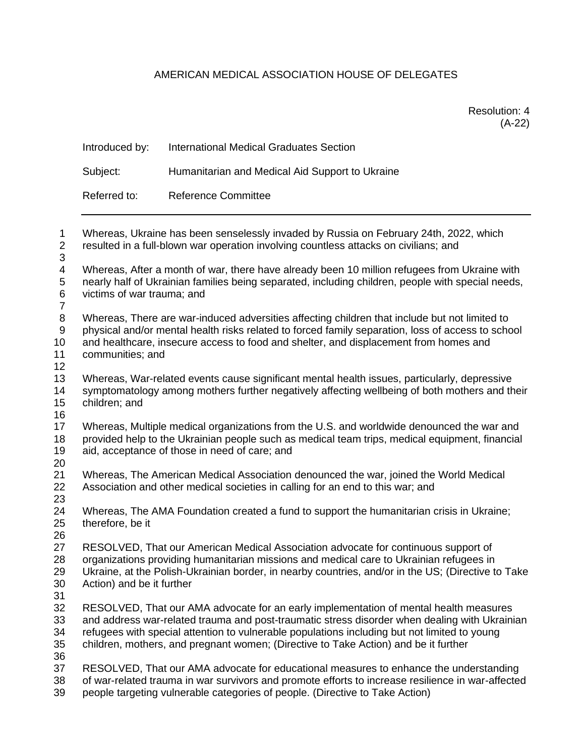## AMERICAN MEDICAL ASSOCIATION HOUSE OF DELEGATES

Resolution: 4 (A-22)

|                                    | Introduced by:                                                                                                                                                                                     | <b>International Medical Graduates Section</b>                                                                                                                                                                                  |  |
|------------------------------------|----------------------------------------------------------------------------------------------------------------------------------------------------------------------------------------------------|---------------------------------------------------------------------------------------------------------------------------------------------------------------------------------------------------------------------------------|--|
|                                    | Subject:                                                                                                                                                                                           | Humanitarian and Medical Aid Support to Ukraine                                                                                                                                                                                 |  |
|                                    | Referred to:                                                                                                                                                                                       | Reference Committee                                                                                                                                                                                                             |  |
| $\mathbf 1$<br>$\overline{2}$<br>3 | Whereas, Ukraine has been senselessly invaded by Russia on February 24th, 2022, which<br>resulted in a full-blown war operation involving countless attacks on civilians; and                      |                                                                                                                                                                                                                                 |  |
| 4<br>5<br>6<br>$\overline{7}$      |                                                                                                                                                                                                    | Whereas, After a month of war, there have already been 10 million refugees from Ukraine with<br>nearly half of Ukrainian families being separated, including children, people with special needs,<br>victims of war trauma; and |  |
| 8<br><sup>o</sup>                  | Whereas, There are war-induced adversities affecting children that include but not limited to<br>physical and/or montal boalth righe related to ferged family concration. Joge of access to sephed |                                                                                                                                                                                                                                 |  |

 physical and/or mental health risks related to forced family separation, loss of access to school and healthcare, insecure access to food and shelter, and displacement from homes and

- communities; and
- 

 Whereas, War-related events cause significant mental health issues, particularly, depressive symptomatology among mothers further negatively affecting wellbeing of both mothers and their children; and

 Whereas, Multiple medical organizations from the U.S. and worldwide denounced the war and provided help to the Ukrainian people such as medical team trips, medical equipment, financial aid, acceptance of those in need of care; and

 Whereas, The American Medical Association denounced the war, joined the World Medical Association and other medical societies in calling for an end to this war; and 

 Whereas, The AMA Foundation created a fund to support the humanitarian crisis in Ukraine; therefore, be it

RESOLVED, That our American Medical Association advocate for continuous support of

 organizations providing humanitarian missions and medical care to Ukrainian refugees in Ukraine, at the Polish-Ukrainian border, in nearby countries, and/or in the US; (Directive to Take

- Action) and be it further
- 

 RESOLVED, That our AMA advocate for an early implementation of mental health measures and address war-related trauma and post-traumatic stress disorder when dealing with Ukrainian refugees with special attention to vulnerable populations including but not limited to young children, mothers, and pregnant women; (Directive to Take Action) and be it further 

- RESOLVED, That our AMA advocate for educational measures to enhance the understanding
- of war-related trauma in war survivors and promote efforts to increase resilience in war-affected people targeting vulnerable categories of people. (Directive to Take Action)